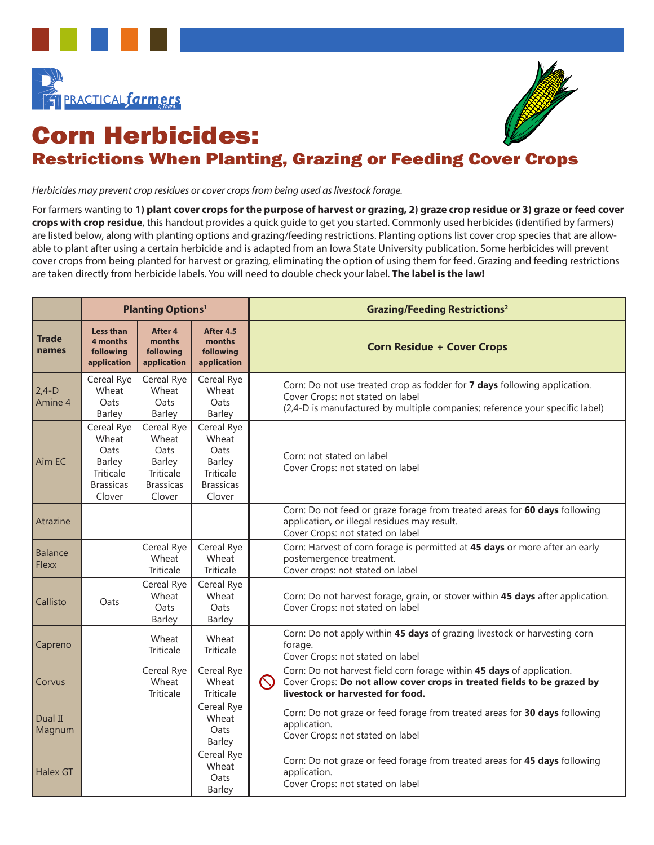



## Corn Herbicides: Restrictions When Planting, Grazing or Feeding Cover Crops

*Herbicides may prevent crop residues or cover crops from being used as livestock forage.* 

For farmers wanting to **1) plant cover crops for the purpose of harvest or grazing, 2) graze crop residue or 3) graze or feed cover crops with crop residue**, this handout provides a quick guide to get you started. Commonly used herbicides (identified by farmers) are listed below, along with planting options and grazing/feeding restrictions. Planting options list cover crop species that are allowable to plant after using a certain herbicide and is adapted from an Iowa State University publication. Some herbicides will prevent cover crops from being planted for harvest or grazing, eliminating the option of using them for feed. Grazing and feeding restrictions are taken directly from herbicide labels. You will need to double check your label. **The label is the law!** 

|                         | <b>Planting Options1</b>                                                         |                                                                                  |                                                                                  |          | <b>Grazing/Feeding Restrictions<sup>2</sup></b>                                                                                                                                               |
|-------------------------|----------------------------------------------------------------------------------|----------------------------------------------------------------------------------|----------------------------------------------------------------------------------|----------|-----------------------------------------------------------------------------------------------------------------------------------------------------------------------------------------------|
| <b>Trade</b><br>names   | <b>Less than</b><br>4 months<br>following<br>application                         | After 4<br>months<br>following<br>application                                    | After 4.5<br>months<br>following<br>application                                  |          | <b>Corn Residue + Cover Crops</b>                                                                                                                                                             |
| $2,4-D$<br>Amine 4      | Cereal Rye<br>Wheat<br>Oats<br>Barley                                            | Cereal Rye<br>Wheat<br>Oats<br>Barley                                            | Cereal Rye<br>Wheat<br>Oats<br>Barley                                            |          | Corn: Do not use treated crop as fodder for 7 days following application.<br>Cover Crops: not stated on label<br>(2,4-D is manufactured by multiple companies; reference your specific label) |
| Aim EC                  | Cereal Rye<br>Wheat<br>Oats<br>Barley<br>Triticale<br><b>Brassicas</b><br>Clover | Cereal Rye<br>Wheat<br>Oats<br>Barley<br>Triticale<br><b>Brassicas</b><br>Clover | Cereal Rye<br>Wheat<br>Oats<br>Barley<br>Triticale<br><b>Brassicas</b><br>Clover |          | Corn: not stated on label<br>Cover Crops: not stated on label                                                                                                                                 |
| Atrazine                |                                                                                  |                                                                                  |                                                                                  |          | Corn: Do not feed or graze forage from treated areas for 60 days following<br>application, or illegal residues may result.<br>Cover Crops: not stated on label                                |
| Balance<br><b>Flexx</b> |                                                                                  | Cereal Rye<br>Wheat<br><b>Triticale</b>                                          | Cereal Rye<br>Wheat<br>Triticale                                                 |          | Corn: Harvest of corn forage is permitted at 45 days or more after an early<br>postemergence treatment.<br>Cover crops: not stated on label                                                   |
| Callisto                | Oats                                                                             | Cereal Rye<br>Wheat<br>Oats<br><b>Barley</b>                                     | Cereal Rye<br>Wheat<br>Oats<br><b>Barley</b>                                     |          | Corn: Do not harvest forage, grain, or stover within 45 days after application.<br>Cover Crops: not stated on label                                                                           |
| Capreno                 |                                                                                  | Wheat<br><b>Triticale</b>                                                        | Wheat<br>Triticale                                                               |          | Corn: Do not apply within 45 days of grazing livestock or harvesting corn<br>forage.<br>Cover Crops: not stated on label                                                                      |
| Corvus                  |                                                                                  | Cereal Rye<br>Wheat<br>Triticale                                                 | Cereal Rye<br>Wheat<br><b>Triticale</b>                                          | $\infty$ | Corn: Do not harvest field corn forage within 45 days of application.<br>Cover Crops: Do not allow cover crops in treated fields to be grazed by<br>livestock or harvested for food.          |
| Dual II<br>Magnum       |                                                                                  |                                                                                  | Cereal Rye<br>Wheat<br>Oats<br>Barley                                            |          | Corn: Do not graze or feed forage from treated areas for 30 days following<br>application.<br>Cover Crops: not stated on label                                                                |
| <b>Halex GT</b>         |                                                                                  |                                                                                  | Cereal Rye<br>Wheat<br>Oats<br>Barley                                            |          | Corn: Do not graze or feed forage from treated areas for 45 days following<br>application.<br>Cover Crops: not stated on label                                                                |